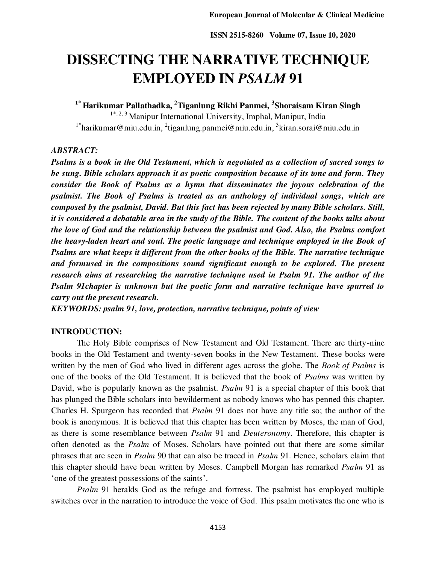# **DISSECTING THE NARRATIVE TECHNIQUE EMPLOYED IN** *PSALM* **91**

**1\* Harikumar Pallathadka, <sup>2</sup>Tiganlung Rikhi Panmei, <sup>3</sup> Shoraisam Kiran Singh**  1\*, 2, 3 Manipur International University, Imphal, Manipur, India <sup>1\*</sup>[harikumar@miu.edu.in,](mailto:harikumar@miu.edu.in) <sup>2</sup>[tiganlung.panmei@miu.edu.in,](mailto:2laxmikirana@miu.edu.in) <sup>3</sup>kiran.sorai@miu.edu.in

#### *ABSTRACT:*

*Psalms is a book in the Old Testament, which is negotiated as a collection of sacred songs to be sung. Bible scholars approach it as poetic composition because of its tone and form. They consider the Book of Psalms as a hymn that disseminates the joyous celebration of the psalmist. The Book of Psalms is treated as an anthology of individual songs, which are composed by the psalmist, David. But this fact has been rejected by many Bible scholars. Still, it is considered a debatable area in the study of the Bible. The content of the books talks about the love of God and the relationship between the psalmist and God. Also, the Psalms comfort the heavy-laden heart and soul. The poetic language and technique employed in the Book of Psalms are what keeps it different from the other books of the Bible. The narrative technique*  and formused in the compositions sound significant enough to be explored. The present *research aims at researching the narrative technique used in Psalm 91. The author of the Psalm 91chapter is unknown but the poetic form and narrative technique have spurred to carry out the present research.* 

*KEYWORDS: psalm 91, love, protection, narrative technique, points of view* 

#### **INTRODUCTION:**

The Holy Bible comprises of New Testament and Old Testament. There are thirty-nine books in the Old Testament and twenty-seven books in the New Testament. These books were written by the men of God who lived in different ages across the globe. The *Book of Psalms* is one of the books of the Old Testament. It is believed that the book of *Psalms* was written by David, who is popularly known as the psalmist. *Psalm* 91 is a special chapter of this book that has plunged the Bible scholars into bewilderment as nobody knows who has penned this chapter. Charles H. Spurgeon has recorded that *Psalm* 91 does not have any title so; the author of the book is anonymous. It is believed that this chapter has been written by Moses, the man of God, as there is some resemblance between *Psalm* 91 and *Deuteronomy*. Therefore, this chapter is often denoted as the *Psalm* of Moses. Scholars have pointed out that there are some similar phrases that are seen in *Psalm* 90 that can also be traced in *Psalm* 91. Hence, scholars claim that this chapter should have been written by Moses. Campbell Morgan has remarked *Psalm* 91 as 'one of the greatest possessions of the saints'.

*Psalm* 91 heralds God as the refuge and fortress. The psalmist has employed multiple switches over in the narration to introduce the voice of God. This psalm motivates the one who is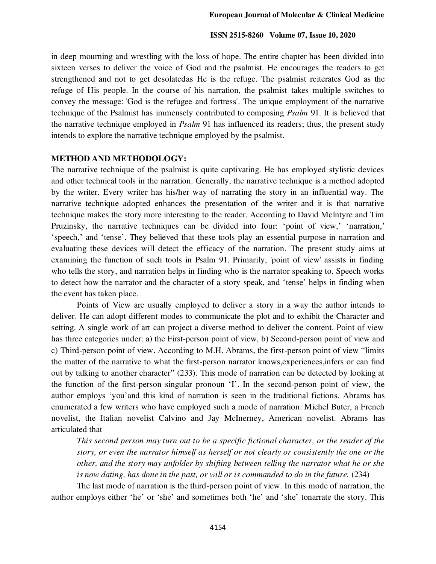in deep mourning and wrestling with the loss of hope. The entire chapter has been divided into sixteen verses to deliver the voice of God and the psalmist. He encourages the readers to get strengthened and not to get desolatedas He is the refuge. The psalmist reiterates God as the refuge of His people. In the course of his narration, the psalmist takes multiple switches to convey the message: 'God is the refugee and fortress'. The unique employment of the narrative technique of the Psalmist has immensely contributed to composing *Psalm* 91. It is believed that the narrative technique employed in *Psalm* 91 has influenced its readers; thus, the present study intends to explore the narrative technique employed by the psalmist.

#### **METHOD AND METHODOLOGY:**

The narrative technique of the psalmist is quite captivating. He has employed stylistic devices and other technical tools in the narration. Generally, the narrative technique is a method adopted by the writer. Every writer has his/her way of narrating the story in an influential way. The narrative technique adopted enhances the presentation of the writer and it is that narrative technique makes the story more interesting to the reader. According to David Mclntyre and Tim Pruzinsky, the narrative techniques can be divided into four: 'point of view,' 'narration,' 'speech,' and 'tense'. They believed that these tools play an essential purpose in narration and evaluating these devices will detect the efficacy of the narration. The present study aims at examining the function of such tools in Psalm 91. Primarily, 'point of view' assists in finding who tells the story, and narration helps in finding who is the narrator speaking to. Speech works to detect how the narrator and the character of a story speak, and 'tense' helps in finding when the event has taken place.

Points of View are usually employed to deliver a story in a way the author intends to deliver. He can adopt different modes to communicate the plot and to exhibit the Character and setting. A single work of art can project a diverse method to deliver the content. Point of view has three categories under: a) the First-person point of view, b) Second-person point of view and c) Third-person point of view. According to M.H. Abrams, the first-person point of view "limits the matter of the narrative to what the first-person narrator knows,experiences,infers or can find out by talking to another character" (233). This mode of narration can be detected by looking at the function of the first-person singular pronoun 'I'. In the second-person point of view, the author employs 'you'and this kind of narration is seen in the traditional fictions. Abrams has enumerated a few writers who have employed such a mode of narration: Michel Buter, a French novelist, the Italian novelist Calvino and Jay McInerney, American novelist. Abrams has articulated that

*This second person may turn out to be a specific fictional character, or the reader of the story, or even the narrator himself as herself or not clearly or consistently the one or the other, and the story may unfolder by shifting between telling the narrator what he or she is now dating, has done in the past, or will or is commanded to do in the future.* (234)

The last mode of narration is the third-person point of view. In this mode of narration, the author employs either 'he' or 'she' and sometimes both 'he' and 'she' tonarrate the story. This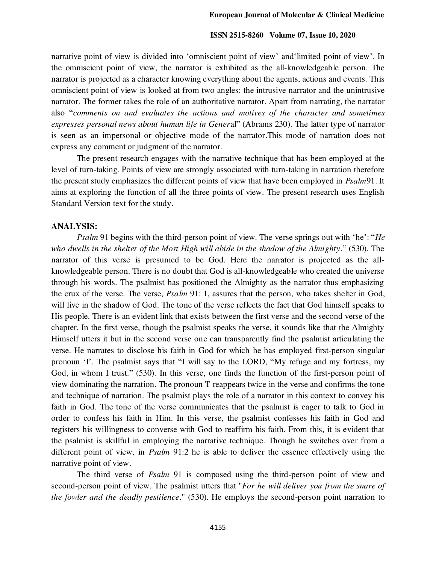narrative point of view is divided into 'omniscient point of view' and'limited point of view'. In the omniscient point of view, the narrator is exhibited as the all-knowledgeable person. The narrator is projected as a character knowing everything about the agents, actions and events. This omniscient point of view is looked at from two angles: the intrusive narrator and the unintrusive narrator. The former takes the role of an authoritative narrator. Apart from narrating, the narrator also "*comments on and evaluates the actions and motives of the character and sometimes expresses personal news about human life in Gener*al" (Abrams 230). The latter type of narrator is seen as an impersonal or objective mode of the narrator.This mode of narration does not express any comment or judgment of the narrator.

The present research engages with the narrative technique that has been employed at the level of turn-taking. Points of view are strongly associated with turn-taking in narration therefore the present study emphasizes the different points of view that have been employed in *Psalm*91. It aims at exploring the function of all the three points of view. The present research uses English Standard Version text for the study.

#### **ANALYSIS:**

*Psalm* 91 begins with the third-person point of view. The verse springs out with 'he': "*He who dwells in the shelter of the Most High will abide in the shadow of the Almighty*." (530). The narrator of this verse is presumed to be God. Here the narrator is projected as the allknowledgeable person. There is no doubt that God is all-knowledgeable who created the universe through his words. The psalmist has positioned the Almighty as the narrator thus emphasizing the crux of the verse. The verse, *Psalm* 91: 1, assures that the person, who takes shelter in God, will live in the shadow of God. The tone of the verse reflects the fact that God himself speaks to His people. There is an evident link that exists between the first verse and the second verse of the chapter. In the first verse, though the psalmist speaks the verse, it sounds like that the Almighty Himself utters it but in the second verse one can transparently find the psalmist articulating the verse. He narrates to disclose his faith in God for which he has employed first-person singular pronoun 'I'. The psalmist says that "I will say to the LORD, "My refuge and my fortress, my God, in whom I trust." (530). In this verse, one finds the function of the first-person point of view dominating the narration. The pronoun 'I' reappears twice in the verse and confirms the tone and technique of narration. The psalmist plays the role of a narrator in this context to convey his faith in God. The tone of the verse communicates that the psalmist is eager to talk to God in order to confess his faith in Him. In this verse, the psalmist confesses his faith in God and registers his willingness to converse with God to reaffirm his faith. From this, it is evident that the psalmist is skillful in employing the narrative technique. Though he switches over from a different point of view, in *Psalm* 91:2 he is able to deliver the essence effectively using the narrative point of view.

The third verse of *Psalm* 91 is composed using the third-person point of view and second-person point of view. The psalmist utters that "*For he will deliver you from the snare of the fowler and the deadly pestilence*." (530). He employs the second-person point narration to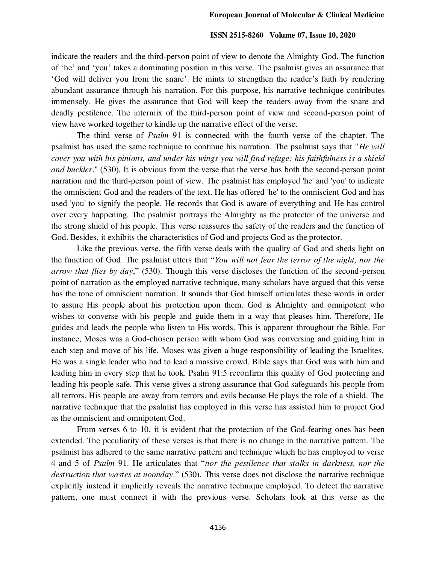indicate the readers and the third-person point of view to denote the Almighty God. The function of 'he' and 'you' takes a dominating position in this verse. The psalmist gives an assurance that 'God will deliver you from the snare'. He mints to strengthen the reader's faith by rendering abundant assurance through his narration. For this purpose, his narrative technique contributes immensely. He gives the assurance that God will keep the readers away from the snare and deadly pestilence. The intermix of the third-person point of view and second-person point of view have worked together to kindle up the narrative effect of the verse.

The third verse of *Psalm* 91 is connected with the fourth verse of the chapter. The psalmist has used the same technique to continue his narration. The psalmist says that "*He will cover you with his pinions, and under his wings you will find refuge; his faithfulness is a shield and buckler*." (530). It is obvious from the verse that the verse has both the second-person point narration and the third-person point of view. The psalmist has employed 'he' and 'you' to indicate the omniscient God and the readers of the text. He has offered 'he' to the omniscient God and has used 'you' to signify the people. He records that God is aware of everything and He has control over every happening. The psalmist portrays the Almighty as the protector of the universe and the strong shield of his people. This verse reassures the safety of the readers and the function of God. Besides, it exhibits the characteristics of God and projects God as the protector.

Like the previous verse, the fifth verse deals with the quality of God and sheds light on the function of God. The psalmist utters that "*You will not fear the terror of the night, nor the arrow that flies by day*," (530). Though this verse discloses the function of the second-person point of narration as the employed narrative technique, many scholars have argued that this verse has the tone of omniscient narration. It sounds that God himself articulates these words in order to assure His people about his protection upon them. God is Almighty and omnipotent who wishes to converse with his people and guide them in a way that pleases him. Therefore, He guides and leads the people who listen to His words. This is apparent throughout the Bible. For instance, Moses was a God-chosen person with whom God was conversing and guiding him in each step and move of his life. Moses was given a huge responsibility of leading the Israelites. He was a single leader who had to lead a massive crowd. Bible says that God was with him and leading him in every step that he took. Psalm 91:5 reconfirm this quality of God protecting and leading his people safe. This verse gives a strong assurance that God safeguards his people from all terrors. His people are away from terrors and evils because He plays the role of a shield. The narrative technique that the psalmist has employed in this verse has assisted him to project God as the omniscient and omnipotent God.

From verses 6 to 10, it is evident that the protection of the God-fearing ones has been extended. The peculiarity of these verses is that there is no change in the narrative pattern. The psalmist has adhered to the same narrative pattern and technique which he has employed to verse 4 and 5 of *Psalm* 91. He articulates that "*nor the pestilence that stalks in darkness, nor the destruction that wastes at noonday*." (530). This verse does not disclose the narrative technique explicitly instead it implicitly reveals the narrative technique employed. To detect the narrative pattern, one must connect it with the previous verse. Scholars look at this verse as the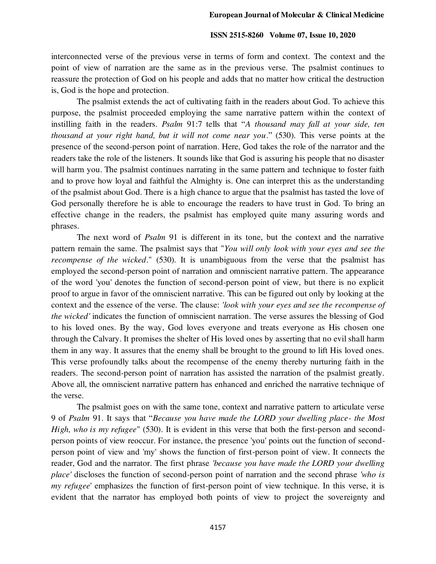interconnected verse of the previous verse in terms of form and context. The context and the point of view of narration are the same as in the previous verse. The psalmist continues to reassure the protection of God on his people and adds that no matter how critical the destruction is, God is the hope and protection.

The psalmist extends the act of cultivating faith in the readers about God. To achieve this purpose, the psalmist proceeded employing the same narrative pattern within the context of instilling faith in the readers. *Psalm* 91:7 tells that "*A thousand may fall at your side, ten thousand at your right hand, but it will not come near you*." (530). This verse points at the presence of the second-person point of narration. Here, God takes the role of the narrator and the readers take the role of the listeners. It sounds like that God is assuring his people that no disaster will harm you. The psalmist continues narrating in the same pattern and technique to foster faith and to prove how loyal and faithful the Almighty is. One can interpret this as the understanding of the psalmist about God. There is a high chance to argue that the psalmist has tasted the love of God personally therefore he is able to encourage the readers to have trust in God. To bring an effective change in the readers, the psalmist has employed quite many assuring words and phrases.

The next word of *Psalm* 91 is different in its tone, but the context and the narrative pattern remain the same. The psalmist says that "*You will only look with your eyes and see the recompense of the wicked*." (530). It is unambiguous from the verse that the psalmist has employed the second-person point of narration and omniscient narrative pattern. The appearance of the word 'you' denotes the function of second-person point of view, but there is no explicit proof to argue in favor of the omniscient narrative. This can be figured out only by looking at the context and the essence of the verse. The clause: *'look with your eyes and see the recompense of the wicked'* indicates the function of omniscient narration. The verse assures the blessing of God to his loved ones. By the way, God loves everyone and treats everyone as His chosen one through the Calvary. It promises the shelter of His loved ones by asserting that no evil shall harm them in any way. It assures that the enemy shall be brought to the ground to lift His loved ones. This verse profoundly talks about the recompense of the enemy thereby nurturing faith in the readers. The second-person point of narration has assisted the narration of the psalmist greatly. Above all, the omniscient narrative pattern has enhanced and enriched the narrative technique of the verse.

The psalmist goes on with the same tone, context and narrative pattern to articulate verse 9 of *Psalm* 91. It says that "*Because you have made the LORD your dwelling place- the Most High, who is my refugee*" (530). It is evident in this verse that both the first-person and secondperson points of view reoccur. For instance, the presence 'you' points out the function of secondperson point of view and 'my' shows the function of first-person point of view. It connects the reader, God and the narrator. The first phrase *'because you have made the LORD your dwelling place'* discloses the function of second-person point of narration and the second phrase *'who is my refugee*' emphasizes the function of first-person point of view technique. In this verse, it is evident that the narrator has employed both points of view to project the sovereignty and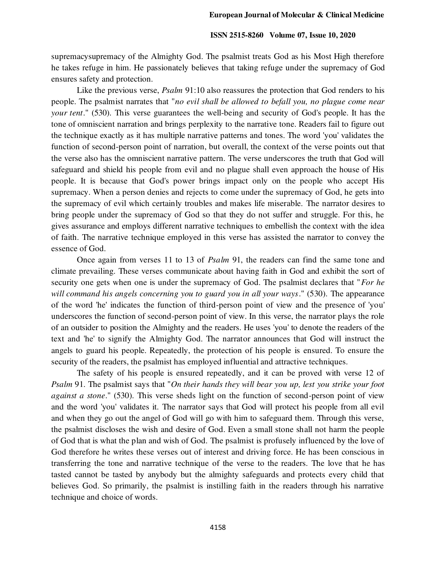supremacysupremacy of the Almighty God. The psalmist treats God as his Most High therefore he takes refuge in him. He passionately believes that taking refuge under the supremacy of God ensures safety and protection.

Like the previous verse, *Psalm* 91:10 also reassures the protection that God renders to his people. The psalmist narrates that "*no evil shall be allowed to befall you, no plague come near your tent*." (530). This verse guarantees the well-being and security of God's people. It has the tone of omniscient narration and brings perplexity to the narrative tone. Readers fail to figure out the technique exactly as it has multiple narrative patterns and tones. The word 'you' validates the function of second-person point of narration, but overall, the context of the verse points out that the verse also has the omniscient narrative pattern. The verse underscores the truth that God will safeguard and shield his people from evil and no plague shall even approach the house of His people. It is because that God's power brings impact only on the people who accept His supremacy. When a person denies and rejects to come under the supremacy of God, he gets into the supremacy of evil which certainly troubles and makes life miserable. The narrator desires to bring people under the supremacy of God so that they do not suffer and struggle. For this, he gives assurance and employs different narrative techniques to embellish the context with the idea of faith. The narrative technique employed in this verse has assisted the narrator to convey the essence of God.

Once again from verses 11 to 13 of *Psalm* 91, the readers can find the same tone and climate prevailing. These verses communicate about having faith in God and exhibit the sort of security one gets when one is under the supremacy of God. The psalmist declares that "*For he will command his angels concerning you to guard you in all your ways*." (530). The appearance of the word 'he' indicates the function of third-person point of view and the presence of 'you' underscores the function of second-person point of view. In this verse, the narrator plays the role of an outsider to position the Almighty and the readers. He uses 'you' to denote the readers of the text and 'he' to signify the Almighty God. The narrator announces that God will instruct the angels to guard his people. Repeatedly, the protection of his people is ensured. To ensure the security of the readers, the psalmist has employed influential and attractive techniques.

The safety of his people is ensured repeatedly, and it can be proved with verse 12 of *Psalm* 91. The psalmist says that "*On their hands they will bear you up, lest you strike your foot against a stone*." (530). This verse sheds light on the function of second-person point of view and the word 'you' validates it. The narrator says that God will protect his people from all evil and when they go out the angel of God will go with him to safeguard them. Through this verse, the psalmist discloses the wish and desire of God. Even a small stone shall not harm the people of God that is what the plan and wish of God. The psalmist is profusely influenced by the love of God therefore he writes these verses out of interest and driving force. He has been conscious in transferring the tone and narrative technique of the verse to the readers. The love that he has tasted cannot be tasted by anybody but the almighty safeguards and protects every child that believes God. So primarily, the psalmist is instilling faith in the readers through his narrative technique and choice of words.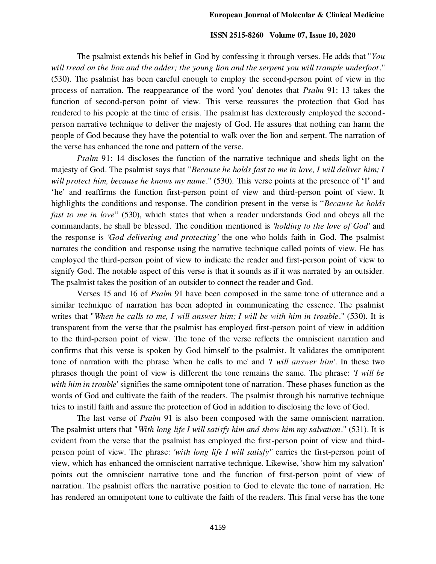The psalmist extends his belief in God by confessing it through verses. He adds that "*You will tread on the lion and the adder; the young lion and the serpent you will trample underfoot*." (530). The psalmist has been careful enough to employ the second-person point of view in the process of narration. The reappearance of the word 'you' denotes that *Psalm* 91: 13 takes the function of second-person point of view. This verse reassures the protection that God has rendered to his people at the time of crisis. The psalmist has dexterously employed the secondperson narrative technique to deliver the majesty of God. He assures that nothing can harm the people of God because they have the potential to walk over the lion and serpent. The narration of the verse has enhanced the tone and pattern of the verse.

*Psalm* 91: 14 discloses the function of the narrative technique and sheds light on the majesty of God. The psalmist says that "*Because he holds fast to me in love, I will deliver him; I will protect him, because he knows my name*." (530). This verse points at the presence of 'I' and 'he' and reaffirms the function first-person point of view and third-person point of view. It highlights the conditions and response. The condition present in the verse is "*Because he holds fast to me in love*" (530), which states that when a reader understands God and obeys all the commandants, he shall be blessed. The condition mentioned is *'holding to the love of God'* and the response is *'God delivering and protecting'* the one who holds faith in God. The psalmist narrates the condition and response using the narrative technique called points of view. He has employed the third-person point of view to indicate the reader and first-person point of view to signify God. The notable aspect of this verse is that it sounds as if it was narrated by an outsider. The psalmist takes the position of an outsider to connect the reader and God.

Verses 15 and 16 of *Psalm* 91 have been composed in the same tone of utterance and a similar technique of narration has been adopted in communicating the essence. The psalmist writes that "*When he calls to me, I will answer him; I will be with him in trouble*." (530). It is transparent from the verse that the psalmist has employed first-person point of view in addition to the third-person point of view. The tone of the verse reflects the omniscient narration and confirms that this verse is spoken by God himself to the psalmist. It validates the omnipotent tone of narration with the phrase 'when he calls to me' and *'I will answer him'*. In these two phrases though the point of view is different the tone remains the same. The phrase: *'I will be with him in trouble*' signifies the same omnipotent tone of narration. These phases function as the words of God and cultivate the faith of the readers. The psalmist through his narrative technique tries to instill faith and assure the protection of God in addition to disclosing the love of God.

The last verse of *Psalm* 91 is also been composed with the same omniscient narration. The psalmist utters that "*With long life I will satisfy him and show him my salvation*." (531). It is evident from the verse that the psalmist has employed the first-person point of view and thirdperson point of view. The phrase: *'with long life I will satisfy"* carries the first-person point of view, which has enhanced the omniscient narrative technique. Likewise, 'show him my salvation' points out the omniscient narrative tone and the function of first-person point of view of narration. The psalmist offers the narrative position to God to elevate the tone of narration. He has rendered an omnipotent tone to cultivate the faith of the readers. This final verse has the tone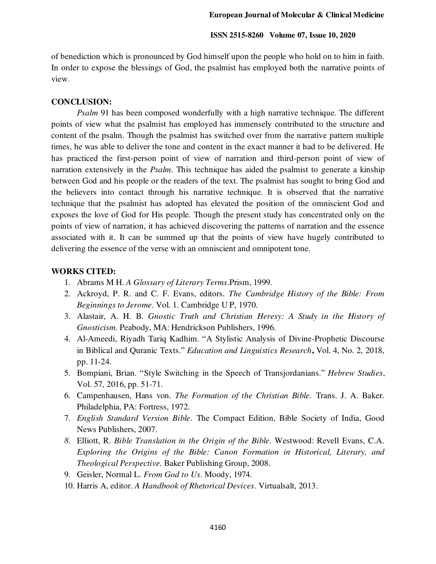of benediction which is pronounced by God himself upon the people who hold on to him in faith. In order to expose the blessings of God, the psalmist has employed both the narrative points of view.

## **CONCLUSION:**

*Psalm* 91 has been composed wonderfully with a high narrative technique. The different points of view what the psalmist has employed has immensely contributed to the structure and content of the psalm. Though the psalmist has switched over from the narrative pattern multiple times, he was able to deliver the tone and content in the exact manner it had to be delivered. He has practiced the first-person point of view of narration and third-person point of view of narration extensively in the *Psalm*. This technique has aided the psalmist to generate a kinship between God and his people or the readers of the text. The psalmist has sought to bring God and the believers into contact through his narrative technique. It is observed that the narrative technique that the psalmist has adopted has elevated the position of the omniscient God and exposes the love of God for His people. Though the present study has concentrated only on the points of view of narration, it has achieved discovering the patterns of narration and the essence associated with it. It can be summed up that the points of view have hugely contributed to delivering the essence of the verse with an omniscient and omnipotent tone.

## **WORKS CITED:**

- 1. Abrams M H. *A Glossary of Literary Terms*.Prism, 1999.
- 2. Ackroyd, P. R. and C. F. Evans, editors. *The Cambridge History of the Bible: From Beginnings to Jerome*. Vol. 1. Cambridge U P, 1970.
- 3. Alastair, A. H. B. *Gnostic Truth and Christian Heresy: A Study in the History of Gnosticism*. Peabody, MA: Hendrickson Publishers, 1996.
- 4. Al-Ameedi, Riyadh Tariq Kadhim. "A Stylistic Analysis of Divine-Prophetic Discourse in Biblical and Quranic Texts." *Education and Linguistics Research***,** Vol. 4, No. 2, 2018, pp. 11-24.
- 5. Bompiani, Brian. "Style Switching in the Speech of Transjordanians." *Hebrew Studies*, Vol. 57, 2016, pp. 51-71.
- 6. Campenhausen, Hans von. *The Formation of the Christian Bible.* Trans. J. A. Baker. Philadelphia, PA: Fortress, 1972.
- 7. *English Standard Version Bible*. The Compact Edition, Bible Society of India, Good News Publishers, 2007.
- *8.* Elliott, R. *Bible Translation in the Origin of the Bible*. Westwood: Revell Evans, C.A. *Exploring the Origins of the Bible: Canon Formation in Historical, Literary, and Theological Perspective.* Baker Publishing Group, 2008.
- 9. Geisler, Normal L. *From God to Us*. Moody, 1974.
- 10. Harris A, editor. *A Handbook of Rhetorical Devices*. Virtualsalt, 2013.